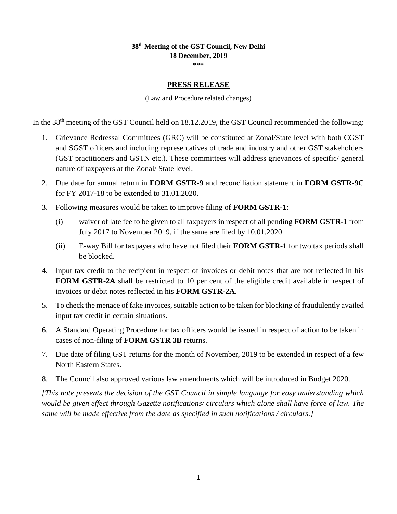## **38 th Meeting of the GST Council, New Delhi 18 December, 2019**

**\*\*\***

#### **PRESS RELEASE**

(Law and Procedure related changes)

In the 38<sup>th</sup> meeting of the GST Council held on 18.12.2019, the GST Council recommended the following:

- 1. Grievance Redressal Committees (GRC) will be constituted at Zonal/State level with both CGST and SGST officers and including representatives of trade and industry and other GST stakeholders (GST practitioners and GSTN etc.). These committees will address grievances of specific/ general nature of taxpayers at the Zonal/ State level.
- 2. Due date for annual return in **FORM GSTR-9** and reconciliation statement in **FORM GSTR-9C** for FY 2017-18 to be extended to 31.01.2020.
- 3. Following measures would be taken to improve filing of **FORM GSTR-1**:
	- (i) waiver of late fee to be given to all taxpayers in respect of all pending **FORM GSTR-1** from July 2017 to November 2019, if the same are filed by 10.01.2020.
	- (ii) E-way Bill for taxpayers who have not filed their **FORM GSTR-1** for two tax periods shall be blocked.
- 4. Input tax credit to the recipient in respect of invoices or debit notes that are not reflected in his **FORM GSTR-2A** shall be restricted to 10 per cent of the eligible credit available in respect of invoices or debit notes reflected in his **FORM GSTR-2A**.
- 5. To check the menace of fake invoices, suitable action to be taken for blocking of fraudulently availed input tax credit in certain situations.
- 6. A Standard Operating Procedure for tax officers would be issued in respect of action to be taken in cases of non-filing of **FORM GSTR 3B** returns.
- 7. Due date of filing GST returns for the month of November, 2019 to be extended in respect of a few North Eastern States.
- 8. The Council also approved various law amendments which will be introduced in Budget 2020.

*[This note presents the decision of the GST Council in simple language for easy understanding which would be given effect through Gazette notifications/ circulars which alone shall have force of law. The same will be made effective from the date as specified in such notifications / circulars.]*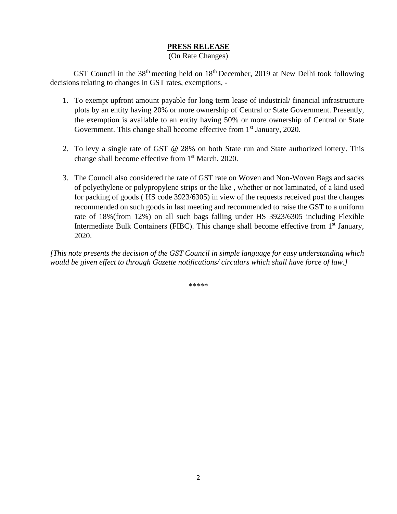### **PRESS RELEASE**

#### (On Rate Changes)

GST Council in the 38<sup>th</sup> meeting held on 18<sup>th</sup> December, 2019 at New Delhi took following decisions relating to changes in GST rates, exemptions, -

- 1. To exempt upfront amount payable for long term lease of industrial/ financial infrastructure plots by an entity having 20% or more ownership of Central or State Government. Presently, the exemption is available to an entity having 50% or more ownership of Central or State Government. This change shall become effective from 1<sup>st</sup> January, 2020.
- 2. To levy a single rate of GST @ 28% on both State run and State authorized lottery. This change shall become effective from 1st March, 2020.
- 3. The Council also considered the rate of GST rate on Woven and Non-Woven Bags and sacks of polyethylene or polypropylene strips or the like , whether or not laminated, of a kind used for packing of goods ( HS code 3923/6305) in view of the requests received post the changes recommended on such goods in last meeting and recommended to raise the GST to a uniform rate of 18%(from 12%) on all such bags falling under HS 3923/6305 including Flexible Intermediate Bulk Containers (FIBC). This change shall become effective from  $1<sup>st</sup>$  January, 2020.

*[This note presents the decision of the GST Council in simple language for easy understanding which would be given effect to through Gazette notifications/ circulars which shall have force of law.]*

\*\*\*\*\*